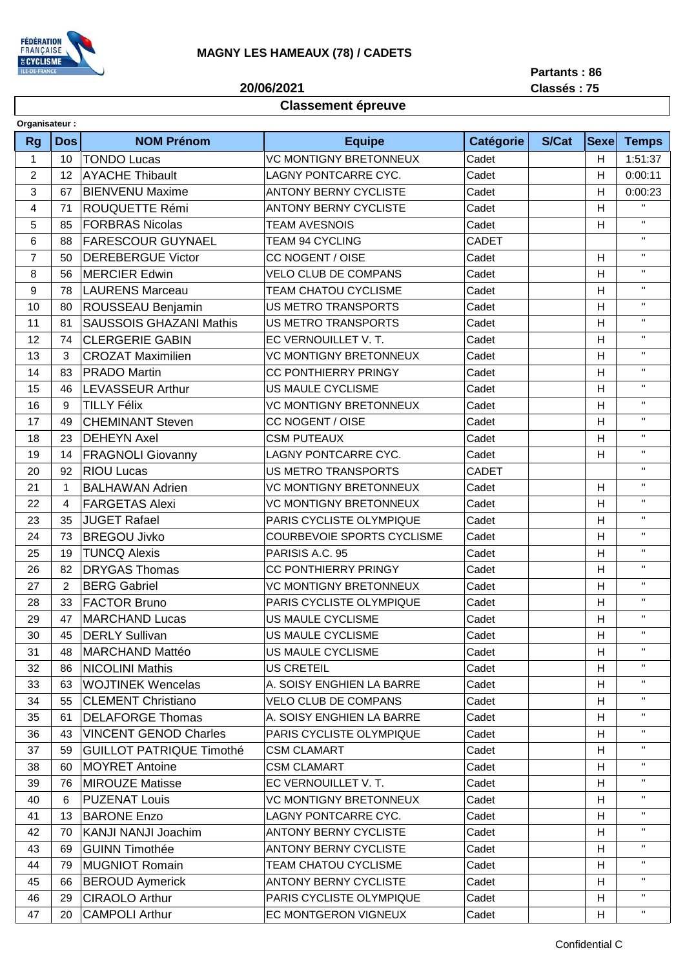

**20/06/2021**

**Partants : 86**

**Classés : 75**

## **Classement épreuve**

| Organisateur:  |             |                                 |                               |                  |              |             |              |
|----------------|-------------|---------------------------------|-------------------------------|------------------|--------------|-------------|--------------|
| <b>Rg</b>      | <b>Dos</b>  | <b>NOM Prénom</b>               | <b>Equipe</b>                 | <b>Catégorie</b> | <b>S/Cat</b> | <b>Sexe</b> | <b>Temps</b> |
| $\mathbf{1}$   | 10          | <b>TONDO Lucas</b>              | <b>VC MONTIGNY BRETONNEUX</b> | Cadet            |              | H           | 1:51:37      |
| 2              | 12          | <b>AYACHE Thibault</b>          | LAGNY PONTCARRE CYC.          | Cadet            |              | Η           | 0:00:11      |
| 3              | 67          | <b>BIENVENU Maxime</b>          | <b>ANTONY BERNY CYCLISTE</b>  | Cadet            |              | н           | 0:00:23      |
| 4              | 71          | <b>ROUQUETTE Rémi</b>           | <b>ANTONY BERNY CYCLISTE</b>  | Cadet            |              | H           | $\mathbf{H}$ |
| 5              | 85          | <b>FORBRAS Nicolas</b>          | <b>TEAM AVESNOIS</b>          | Cadet            |              | Н           | $\mathbf{H}$ |
| 6              | 88          | <b>FARESCOUR GUYNAEL</b>        | <b>TEAM 94 CYCLING</b>        | CADET            |              |             | $\mathbf{H}$ |
| $\overline{7}$ | 50          | <b>DEREBERGUE Victor</b>        | CC NOGENT / OISE              | Cadet            |              | Н           | $\mathbf{H}$ |
| 8              | 56          | <b>MERCIER Edwin</b>            | <b>VELO CLUB DE COMPANS</b>   | Cadet            |              | Н           | $\mathbf{H}$ |
| 9              | 78          | <b>LAURENS Marceau</b>          | <b>TEAM CHATOU CYCLISME</b>   | Cadet            |              | H           | $\mathbf{H}$ |
| 10             | 80          | <b>ROUSSEAU Benjamin</b>        | <b>US METRO TRANSPORTS</b>    | Cadet            |              | Η           | $\mathbf{H}$ |
| 11             | 81          | <b>SAUSSOIS GHAZANI Mathis</b>  | <b>US METRO TRANSPORTS</b>    | Cadet            |              | Н           | $\mathbf{H}$ |
| 12             | 74          | <b>CLERGERIE GABIN</b>          | EC VERNOUILLET V. T.          | Cadet            |              | H           | $\mathbf H$  |
| 13             | 3           | <b>CROZAT Maximilien</b>        | <b>VC MONTIGNY BRETONNEUX</b> | Cadet            |              | H           | $\mathbf{H}$ |
| 14             | 83          | <b>PRADO Martin</b>             | <b>CC PONTHIERRY PRINGY</b>   | Cadet            |              | H           | $\mathbf H$  |
| 15             | 46          | <b>LEVASSEUR Arthur</b>         | <b>US MAULE CYCLISME</b>      | Cadet            |              | H           | $\mathbf{H}$ |
| 16             | 9           | <b>TILLY Félix</b>              | <b>VC MONTIGNY BRETONNEUX</b> | Cadet            |              | Н           | $\mathbf{H}$ |
| 17             | 49          | <b>CHEMINANT Steven</b>         | CC NOGENT / OISE              | Cadet            |              | H           | $\mathbf{H}$ |
| 18             | 23          | <b>DEHEYN Axel</b>              | <b>CSM PUTEAUX</b>            | Cadet            |              | H           | $\mathbf{H}$ |
| 19             | 14          | <b>FRAGNOLI Giovanny</b>        | LAGNY PONTCARRE CYC.          | Cadet            |              | Н           | $\mathbf{H}$ |
| 20             | 92          | <b>RIOU Lucas</b>               | <b>US METRO TRANSPORTS</b>    | <b>CADET</b>     |              |             | $\mathbf{H}$ |
| 21             | $\mathbf 1$ | <b>BALHAWAN Adrien</b>          | VC MONTIGNY BRETONNEUX        | Cadet            |              | H           | $\mathbf{H}$ |
| 22             | 4           | <b>FARGETAS Alexi</b>           | <b>VC MONTIGNY BRETONNEUX</b> | Cadet            |              | Н           | $\mathbf H$  |
| 23             | 35          | <b>JUGET Rafael</b>             | PARIS CYCLISTE OLYMPIQUE      | Cadet            |              | H           | $\mathbf{H}$ |
| 24             | 73          | <b>BREGOU Jivko</b>             | COURBEVOIE SPORTS CYCLISME    | Cadet            |              | Н           | $\mathbf{H}$ |
| 25             | 19          | <b>TUNCQ Alexis</b>             | PARISIS A.C. 95               | Cadet            |              | H           | $\mathbf H$  |
| 26             | 82          | <b>DRYGAS Thomas</b>            | <b>CC PONTHIERRY PRINGY</b>   | Cadet            |              | Н           | $\mathbf{H}$ |
| 27             | 2           | <b>BERG Gabriel</b>             | <b>VC MONTIGNY BRETONNEUX</b> | Cadet            |              | Н           | $\mathbf{H}$ |
| 28             | 33          | <b>FACTOR Bruno</b>             | PARIS CYCLISTE OLYMPIQUE      | Cadet            |              | H           | $\mathbf H$  |
| 29             | 47          | <b>MARCHAND Lucas</b>           | US MAULE CYCLISME             | Cadet            |              | H           | $\mathbf{H}$ |
| 30             |             | 45   DERLY Sullivan             | US MAULE CYCLISME             | Cadet            |              | H           | $\mathbf{H}$ |
| 31             | 48          | MARCHAND Mattéo                 | US MAULE CYCLISME             | Cadet            |              | H           | $\mathbf{H}$ |
| 32             | 86          | <b>NICOLINI Mathis</b>          | <b>US CRETEIL</b>             | Cadet            |              | н           |              |
| 33             | 63          | WOJTINEK Wencelas               | A. SOISY ENGHIEN LA BARRE     | Cadet            |              | H           | Η.           |
| 34             | 55          | <b>CLEMENT Christiano</b>       | <b>VELO CLUB DE COMPANS</b>   | Cadet            |              | H           | $\mathbf H$  |
| 35             | 61          | <b>DELAFORGE Thomas</b>         | A. SOISY ENGHIEN LA BARRE     | Cadet            |              | H           | $\mathbf H$  |
| 36             | 43          | <b>VINCENT GENOD Charles</b>    | PARIS CYCLISTE OLYMPIQUE      | Cadet            |              | н           | $\mathbf H$  |
| 37             | 59          | <b>GUILLOT PATRIQUE Timothé</b> | <b>CSM CLAMART</b>            | Cadet            |              | н           |              |
| 38             | 60          | <b>MOYRET Antoine</b>           | <b>CSM CLAMART</b>            | Cadet            |              | н           | π.           |
| 39             | 76          | <b>MIROUZE Matisse</b>          | EC VERNOUILLET V. T.          | Cadet            |              | Н           | Η.           |
| 40             | 6           | <b>PUZENAT Louis</b>            | <b>VC MONTIGNY BRETONNEUX</b> | Cadet            |              | H           | π.           |
| 41             | 13          | <b>BARONE Enzo</b>              | LAGNY PONTCARRE CYC.          | Cadet            |              | н           | π.           |
| 42             | 70          | KANJI NANJI Joachim             | <b>ANTONY BERNY CYCLISTE</b>  | Cadet            |              | н           |              |
| 43             | 69          | <b>GUINN Timothée</b>           | <b>ANTONY BERNY CYCLISTE</b>  | Cadet            |              | H           | π.           |
| 44             | 79          | <b>MUGNIOT Romain</b>           | <b>TEAM CHATOU CYCLISME</b>   | Cadet            |              | Н           | π.           |
| 45             | 66          | <b>BEROUD Aymerick</b>          | <b>ANTONY BERNY CYCLISTE</b>  | Cadet            |              | H.          | н.           |
| 46             | 29          | <b>CIRAOLO Arthur</b>           | PARIS CYCLISTE OLYMPIQUE      | Cadet            |              | H           | $\mathbf H$  |
| 47             | 20          | <b>CAMPOLI Arthur</b>           | EC MONTGERON VIGNEUX          | Cadet            |              | H           | н.           |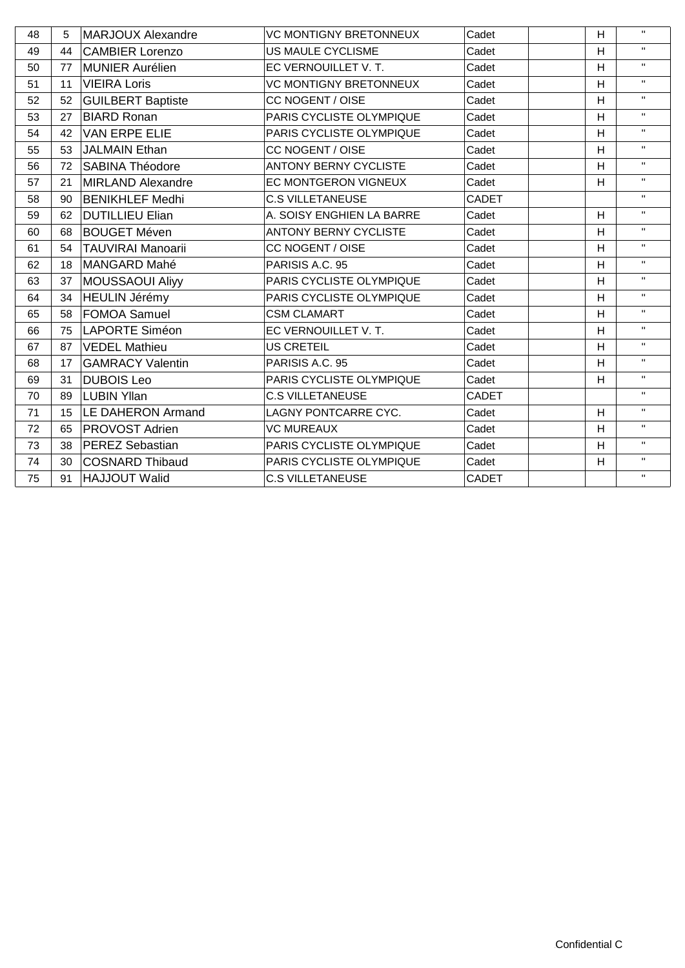| 48 | 5  | <b>MARJOUX Alexandre</b> | <b>VC MONTIGNY BRETONNEUX</b> | Cadet        | Н | $\mathbf{H}$ |
|----|----|--------------------------|-------------------------------|--------------|---|--------------|
| 49 | 44 | <b>CAMBIER Lorenzo</b>   | US MAULE CYCLISME             | Cadet        | H | $\mathbf{H}$ |
| 50 | 77 | MUNIER Aurélien          | EC VERNOUILLET V. T.          | Cadet        | H | $\mathbf{H}$ |
| 51 | 11 | <b>VIEIRA Loris</b>      | VC MONTIGNY BRETONNEUX        | Cadet        | H | $\mathbf{H}$ |
| 52 | 52 | <b>GUILBERT Baptiste</b> | CC NOGENT / OISE              | Cadet        | H | $\mathbf{H}$ |
| 53 | 27 | <b>BIARD Ronan</b>       | PARIS CYCLISTE OLYMPIQUE      | Cadet        | H | $\mathbf{H}$ |
| 54 | 42 | <b>VAN ERPE ELIE</b>     | PARIS CYCLISTE OLYMPIQUE      | Cadet        | H | $\mathbf{H}$ |
| 55 | 53 | JALMAIN Ethan            | CC NOGENT / OISE              | Cadet        | H | $\mathbf{H}$ |
| 56 | 72 | <b>SABINA Théodore</b>   | <b>ANTONY BERNY CYCLISTE</b>  | Cadet        | H | $\mathbf{H}$ |
| 57 | 21 | MIRLAND Alexandre        | EC MONTGERON VIGNEUX          | Cadet        | H | $\mathbf{H}$ |
| 58 | 90 | <b>BENIKHLEF Medhi</b>   | <b>C.S VILLETANEUSE</b>       | <b>CADET</b> |   | $\mathbf{H}$ |
| 59 | 62 | <b>DUTILLIEU Elian</b>   | A. SOISY ENGHIEN LA BARRE     | Cadet        | H | $\mathbf{H}$ |
| 60 | 68 | <b>BOUGET Méven</b>      | <b>ANTONY BERNY CYCLISTE</b>  | Cadet        | H | $\mathbf{H}$ |
| 61 | 54 | <b>TAUVIRAI Manoarii</b> | CC NOGENT / OISE              | Cadet        | H | $\mathbf{H}$ |
| 62 | 18 | MANGARD Mahé             | PARISIS A.C. 95               | Cadet        | H | $\mathbf{H}$ |
| 63 | 37 | <b>MOUSSAOUI Aliyy</b>   | PARIS CYCLISTE OLYMPIQUE      | Cadet        | H | $\mathbf{H}$ |
| 64 | 34 | HEULIN Jérémy            | PARIS CYCLISTE OLYMPIQUE      | Cadet        | H | $\mathbf{H}$ |
| 65 | 58 | <b>FOMOA Samuel</b>      | <b>CSM CLAMART</b>            | Cadet        | H | $\mathbf{H}$ |
| 66 | 75 | LAPORTE Siméon           | EC VERNOUILLET V. T.          | Cadet        | H | $\mathbf{H}$ |
| 67 | 87 | <b>VEDEL Mathieu</b>     | US CRETEIL                    | Cadet        | H | $\mathbf{H}$ |
| 68 | 17 | <b>GAMRACY Valentin</b>  | PARISIS A.C. 95               | Cadet        | H | $\mathbf{H}$ |
| 69 | 31 | <b>DUBOIS Leo</b>        | PARIS CYCLISTE OLYMPIQUE      | Cadet        | H | $\mathbf{H}$ |
| 70 | 89 | LUBIN Yllan              | <b>C.S VILLETANEUSE</b>       | CADET        |   | $\mathbf{H}$ |
| 71 | 15 | LE DAHERON Armand        | LAGNY PONTCARRE CYC.          | Cadet        | H | $\mathbf{H}$ |
| 72 | 65 | <b>PROVOST Adrien</b>    | <b>VC MUREAUX</b>             | Cadet        | H | $\mathbf{H}$ |
| 73 | 38 | <b>PEREZ Sebastian</b>   | PARIS CYCLISTE OLYMPIQUE      | Cadet        | H | $\mathbf{H}$ |
| 74 | 30 | <b>COSNARD Thibaud</b>   | PARIS CYCLISTE OLYMPIQUE      | Cadet        | Н | $\mathbf{H}$ |
| 75 | 91 | <b>HAJJOUT Walid</b>     | <b>C.S VILLETANEUSE</b>       | <b>CADET</b> |   | $\mathbf{H}$ |